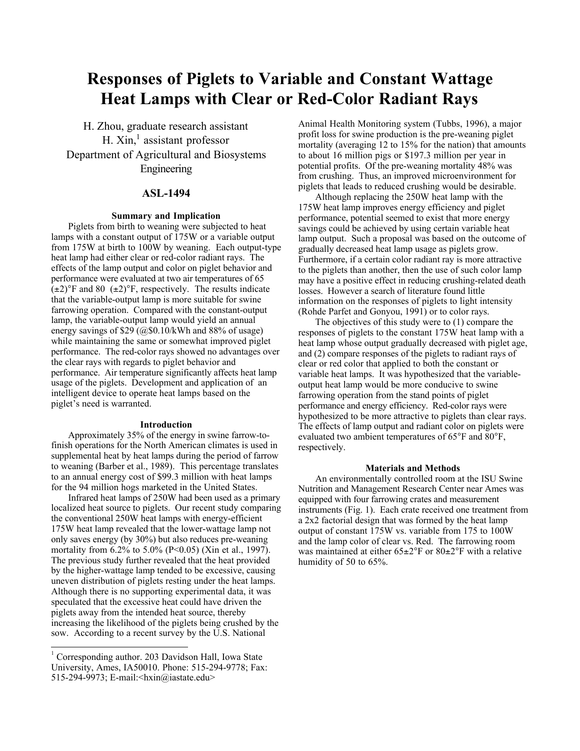# **Responses of Piglets to Variable and Constant Wattage Heat Lamps with Clear or Red-Color Radiant Rays**

H. Zhou, graduate research assistant H. Xin,<sup>1</sup> assistant professor Department of Agricultural and Biosystems Engineering

## **ASL-1494**

#### **Summary and Implication**

Piglets from birth to weaning were subjected to heat lamps with a constant output of 175W or a variable output from 175W at birth to 100W by weaning. Each output-type heat lamp had either clear or red-color radiant rays. The effects of the lamp output and color on piglet behavior and performance were evaluated at two air temperatures of 65  $(\pm 2)$ °F and 80  $(\pm 2)$ °F, respectively. The results indicate that the variable-output lamp is more suitable for swine farrowing operation. Compared with the constant-output lamp, the variable-output lamp would yield an annual energy savings of \$29 (@\$0.10/kWh and 88% of usage) while maintaining the same or somewhat improved piglet performance. The red-color rays showed no advantages over the clear rays with regards to piglet behavior and performance. Air temperature significantly affects heat lamp usage of the piglets. Development and application of an intelligent device to operate heat lamps based on the piglet's need is warranted.

#### **Introduction**

Approximately 35% of the energy in swine farrow-tofinish operations for the North American climates is used in supplemental heat by heat lamps during the period of farrow to weaning (Barber et al., 1989). This percentage translates to an annual energy cost of \$99.3 million with heat lamps for the 94 million hogs marketed in the United States.

Infrared heat lamps of 250W had been used as a primary localized heat source to piglets. Our recent study comparing the conventional 250W heat lamps with energy-efficient 175W heat lamp revealed that the lower-wattage lamp not only saves energy (by 30%) but also reduces pre-weaning mortality from 6.2% to 5.0% (P<0.05) (Xin et al., 1997). The previous study further revealed that the heat provided by the higher-wattage lamp tended to be excessive, causing uneven distribution of piglets resting under the heat lamps. Although there is no supporting experimental data, it was speculated that the excessive heat could have driven the piglets away from the intended heat source, thereby increasing the likelihood of the piglets being crushed by the sow. According to a recent survey by the U.S. National

Animal Health Monitoring system (Tubbs, 1996), a major profit loss for swine production is the pre-weaning piglet mortality (averaging 12 to 15% for the nation) that amounts to about 16 million pigs or \$197.3 million per year in potential profits. Of the pre-weaning mortality 48% was from crushing. Thus, an improved microenvironment for piglets that leads to reduced crushing would be desirable.

Although replacing the 250W heat lamp with the 175W heat lamp improves energy efficiency and piglet performance, potential seemed to exist that more energy savings could be achieved by using certain variable heat lamp output. Such a proposal was based on the outcome of gradually decreased heat lamp usage as piglets grow. Furthermore, if a certain color radiant ray is more attractive to the piglets than another, then the use of such color lamp may have a positive effect in reducing crushing-related death losses. However a search of literature found little information on the responses of piglets to light intensity (Rohde Parfet and Gonyou, 1991) or to color rays.

The objectives of this study were to (1) compare the responses of piglets to the constant 175W heat lamp with a heat lamp whose output gradually decreased with piglet age, and (2) compare responses of the piglets to radiant rays of clear or red color that applied to both the constant or variable heat lamps. It was hypothesized that the variableoutput heat lamp would be more conducive to swine farrowing operation from the stand points of piglet performance and energy efficiency. Red-color rays were hypothesized to be more attractive to piglets than clear rays. The effects of lamp output and radiant color on piglets were evaluated two ambient temperatures of 65°F and 80°F, respectively.

#### **Materials and Methods**

An environmentally controlled room at the ISU Swine Nutrition and Management Research Center near Ames was equipped with four farrowing crates and measurement instruments (Fig. 1). Each crate received one treatment from a 2x2 factorial design that was formed by the heat lamp output of constant 175W vs. variable from 175 to 100W and the lamp color of clear vs. Red. The farrowing room was maintained at either  $65\pm2\text{°F}$  or  $80\pm2\text{°F}$  with a relative humidity of 50 to 65%.

 1 Corresponding author. 203 Davidson Hall, Iowa State University, Ames, IA50010. Phone: 515-294-9778; Fax: 515-294-9973; E-mail:<hxin@iastate.edu>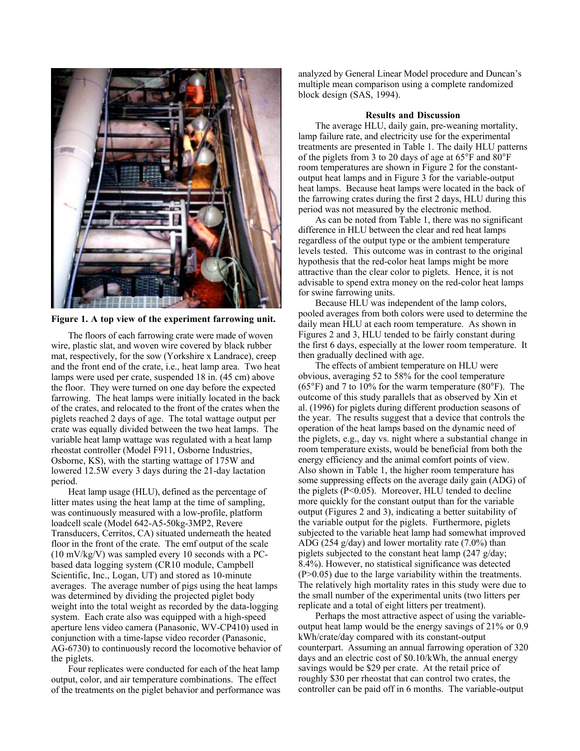

**Figure 1. A top view of the experiment farrowing unit.**

The floors of each farrowing crate were made of woven wire, plastic slat, and woven wire covered by black rubber mat, respectively, for the sow (Yorkshire x Landrace), creep and the front end of the crate, i.e., heat lamp area. Two heat lamps were used per crate, suspended 18 in. (45 cm) above the floor. They were turned on one day before the expected farrowing. The heat lamps were initially located in the back of the crates, and relocated to the front of the crates when the piglets reached 2 days of age. The total wattage output per crate was equally divided between the two heat lamps. The variable heat lamp wattage was regulated with a heat lamp rheostat controller (Model F911, Osborne Industries, Osborne, KS), with the starting wattage of 175W and lowered 12.5W every 3 days during the 21-day lactation period.

Heat lamp usage (HLU), defined as the percentage of litter mates using the heat lamp at the time of sampling, was continuously measured with a low-profile, platform loadcell scale (Model 642-A5-50kg-3MP2, Revere Transducers, Cerritos, CA) situated underneath the heated floor in the front of the crate. The emf output of the scale (10 mV/kg/V) was sampled every 10 seconds with a PCbased data logging system (CR10 module, Campbell Scientific, Inc., Logan, UT) and stored as 10-minute averages. The average number of pigs using the heat lamps was determined by dividing the projected piglet body weight into the total weight as recorded by the data-logging system. Each crate also was equipped with a high-speed aperture lens video camera (Panasonic, WV-CP410) used in conjunction with a time-lapse video recorder (Panasonic, AG-6730) to continuously record the locomotive behavior of the piglets.

Four replicates were conducted for each of the heat lamp output, color, and air temperature combinations. The effect of the treatments on the piglet behavior and performance was analyzed by General Linear Model procedure and Duncan's multiple mean comparison using a complete randomized block design (SAS, 1994).

#### **Results and Discussion**

The average HLU, daily gain, pre-weaning mortality, lamp failure rate, and electricity use for the experimental treatments are presented in Table 1. The daily HLU patterns of the piglets from 3 to 20 days of age at 65°F and 80°F room temperatures are shown in Figure 2 for the constantoutput heat lamps and in Figure 3 for the variable-output heat lamps. Because heat lamps were located in the back of the farrowing crates during the first 2 days, HLU during this period was not measured by the electronic method.

As can be noted from Table 1, there was no significant difference in HLU between the clear and red heat lamps regardless of the output type or the ambient temperature levels tested. This outcome was in contrast to the original hypothesis that the red-color heat lamps might be more attractive than the clear color to piglets. Hence, it is not advisable to spend extra money on the red-color heat lamps for swine farrowing units.

Because HLU was independent of the lamp colors, pooled averages from both colors were used to determine the daily mean HLU at each room temperature. As shown in Figures 2 and 3, HLU tended to be fairly constant during the first 6 days, especially at the lower room temperature. It then gradually declined with age.

The effects of ambient temperature on HLU were obvious, averaging 52 to 58% for the cool temperature (65°F) and 7 to 10% for the warm temperature (80°F). The outcome of this study parallels that as observed by Xin et al. (1996) for piglets during different production seasons of the year. The results suggest that a device that controls the operation of the heat lamps based on the dynamic need of the piglets, e.g., day vs. night where a substantial change in room temperature exists, would be beneficial from both the energy efficiency and the animal comfort points of view. Also shown in Table 1, the higher room temperature has some suppressing effects on the average daily gain (ADG) of the piglets ( $P<0.05$ ). Moreover, HLU tended to decline more quickly for the constant output than for the variable output (Figures 2 and 3), indicating a better suitability of the variable output for the piglets. Furthermore, piglets subjected to the variable heat lamp had somewhat improved ADG (254 g/day) and lower mortality rate (7.0%) than piglets subjected to the constant heat lamp (247 g/day; 8.4%). However, no statistical significance was detected (P>0.05) due to the large variability within the treatments. The relatively high mortality rates in this study were due to the small number of the experimental units (two litters per replicate and a total of eight litters per treatment).

Perhaps the most attractive aspect of using the variableoutput heat lamp would be the energy savings of 21% or 0.9 kWh/crate/day compared with its constant-output counterpart. Assuming an annual farrowing operation of 320 days and an electric cost of \$0.10/kWh, the annual energy savings would be \$29 per crate. At the retail price of roughly \$30 per rheostat that can control two crates, the controller can be paid off in 6 months. The variable-output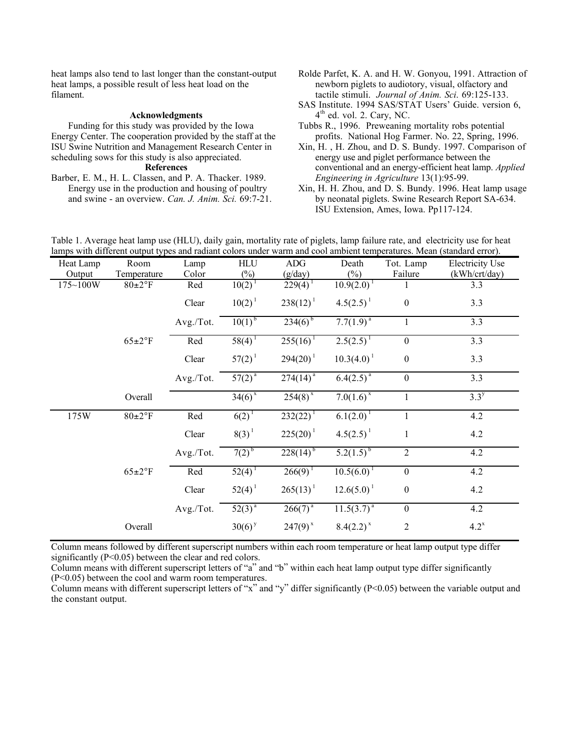heat lamps also tend to last longer than the constant-output heat lamps, a possible result of less heat load on the filament.

#### **Acknowledgments**

Funding for this study was provided by the Iowa Energy Center. The cooperation provided by the staff at the ISU Swine Nutrition and Management Research Center in scheduling sows for this study is also appreciated.

### **References**

Barber, E. M., H. L. Classen, and P. A. Thacker. 1989. Energy use in the production and housing of poultry and swine - an overview. *Can. J. Anim. Sci.* 69:7-21.

- Rolde Parfet, K. A. and H. W. Gonyou, 1991. Attraction of newborn piglets to audiotory, visual, olfactory and tactile stimuli. *Journal of Anim. Sci*. 69:125-133.
- SAS Institute. 1994 SAS/STAT Users' Guide. version 6,  $4<sup>th</sup>$  ed. vol. 2. Cary, NC.
- Tubbs R., 1996. Preweaning mortality robs potential profits. National Hog Farmer. No. 22, Spring, 1996.
- Xin, H. , H. Zhou, and D. S. Bundy. 1997. Comparison of energy use and piglet performance between the conventional and an energy-efficient heat lamp. *Applied Engineering in Agriculture* 13(1):95-99.
- Xin, H. H. Zhou, and D. S. Bundy. 1996. Heat lamp usage by neonatal piglets. Swine Research Report SA-634. ISU Extension, Ames, Iowa. Pp117-124.

| Heat Lamp    | Room              | Lamp      | <b>HLU</b>           | <b>ADG</b>            | Death                              | Tot. Lamp        | <b>Electricity Use</b> |
|--------------|-------------------|-----------|----------------------|-----------------------|------------------------------------|------------------|------------------------|
| Output       | Temperature       | Color     | $(\%)$               | (g/day)               | $(\%)$                             | Failure          | (kWh/crt/day)          |
| $175 - 100W$ | $80\pm2\degree F$ | Red       | 10(2)                | $229(4)^{1}$          | $10.9(2.0)^1$                      |                  | 3.3                    |
|              |                   | Clear     | $10(2)^{1}$          | $238(12)^1$           | $4.5(2.5)^1$                       | $\boldsymbol{0}$ | 3.3                    |
|              |                   | Avg./Tot. | $10(1)^{b}$          | $23\overline{4(6)}^5$ | $7.\overline{7(1.9)}^{\mathrm{a}}$ |                  | 3.3                    |
|              | $65 \pm 2$ °F     | Red       | $58(4)^1$            | $255(16)^1$           | $2.5(2.5)^{1}$                     | $\boldsymbol{0}$ | 3.3                    |
|              |                   | Clear     | $57(2)^1$            | $294(20)^{1}$         | $10.3(4.0)^{1}$                    | $\boldsymbol{0}$ | 3.3                    |
|              |                   | Avg./Tot. | $57(2)^{a}$          | $274(14)^{a}$         | $6.4(2.5)^{a}$                     | $\boldsymbol{0}$ | 3.3                    |
|              | Overall           |           | $34(6)^{x}$          | $254(8)^{x}$          | $7.0(1.6)^{x}$                     |                  | $3.3^y$                |
| 175W         | $80\pm2\degree F$ | Red       | $6(2)^{1}$           | $232(22)^{1}$         | $6.1(2.0)^{1}$                     |                  | 4.2                    |
|              |                   | Clear     | $8(3)^{1}$           | $225(20)^1$           | $4.5(2.5)^1$                       | 1                | 4.2                    |
|              |                   | Avg./Tot. | $7(2)^{b}$           | $228(14)^{b}$         | $5.2(1.5)^{b}$                     | $\overline{2}$   | 4.2                    |
|              | $65 \pm 2$ °F     | Red       | $52(4)^1$            | 266(9)                | $10.5(6.0)^{1}$                    | $\boldsymbol{0}$ | 4.2                    |
|              |                   | Clear     | $52(4)^1$            | $265(13)^{1}$         | $12.6(5.0)^{1}$                    | $\boldsymbol{0}$ | 4.2                    |
|              |                   | Avg./Tot. | $52(3)^{a}$          | $266(7)^{a}$          | $11.5(3.7)^{a}$                    | $\boldsymbol{0}$ | 4.2                    |
|              | Overall           |           | $30(6)$ <sup>y</sup> | $247(9)^{x}$          | $8.4(2.2)^{x}$                     | $\overline{2}$   | $4.2^x$                |

Table 1. Average heat lamp use (HLU), daily gain, mortality rate of piglets, lamp failure rate, and electricity use for heat lamps with different output types and radiant colors under warm and cool ambient temperatures. Mean (standard error).

Column means followed by different superscript numbers within each room temperature or heat lamp output type differ significantly (P<0.05) between the clear and red colors.

Column means with different superscript letters of "a" and "b" within each heat lamp output type differ significantly (P<0.05) between the cool and warm room temperatures.

Column means with different superscript letters of "x" and "y" differ significantly (P<0.05) between the variable output and the constant output.